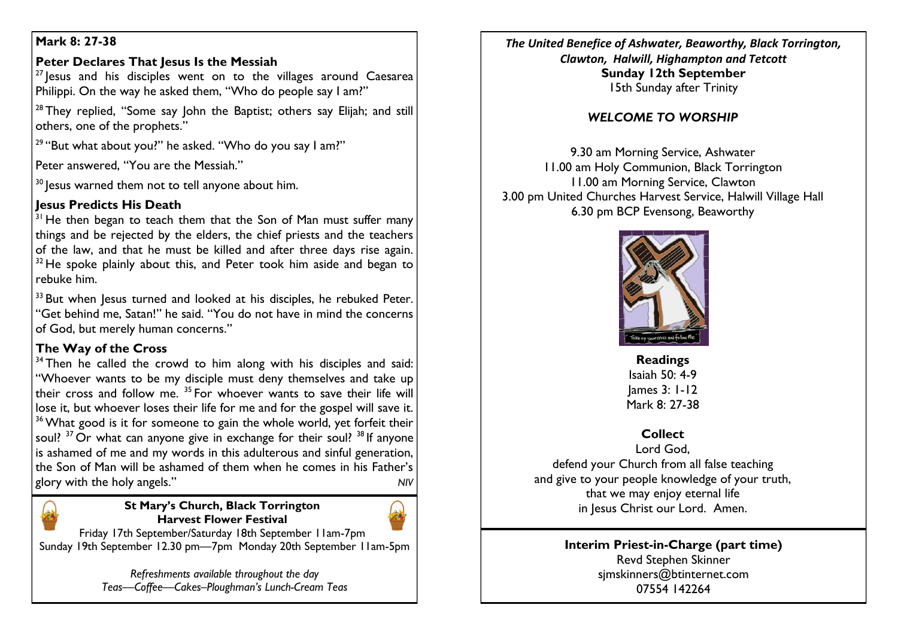## **Mark 8: 27-38**

## **Peter Declares That Iesus Is the Messiah**

 $27$  lesus and his disciples went on to the villages around Caesarea Philippi. On the way he asked them, "Who do people say I am?"

<sup>28</sup> They replied, "Some say John the Baptist; others say Elijah; and still others, one of the prophets."

 $29$  "But what about you?" he asked. "Who do you say I am?"

Peter answered, "You are the Messiah."

<sup>30</sup> lesus warned them not to tell anyone about him.

## **Jesus Predicts His Death**

 $31$  He then began to teach them that the Son of Man must suffer many things and be rejected by the elders, the chief priests and the teachers of the law, and that he must be killed and after three days rise again.  $32$  He spoke plainly about this, and Peter took him aside and began to rebuke him.

<sup>33</sup> But when lesus turned and looked at his disciples, he rebuked Peter. "Get behind me, Satan!" he said. "You do not have in mind the concerns of God, but merely human concerns."

# **The Way of the Cross**

 $34$  Then he called the crowd to him along with his disciples and said: "Whoever wants to be my disciple must deny themselves and take up their cross and follow me.  $35$  For whoever wants to save their life will lose it, but whoever loses their life for me and for the gospel will save it. <sup>36</sup> What good is it for someone to gain the whole world, yet forfeit their soul?  $37$  Or what can anyone give in exchange for their soul?  $38$  If anyone is ashamed of me and my words in this adulterous and sinful generation, the Son of Man will be ashamed of them when he comes in his Father's glory with the holy angels." *NIV*

## **St Mary's Church, Black Torrington Harvest Flower Festival**



Friday 17th September/Saturday 18th September 11am-7pm Sunday 19th September 12.30 pm—7pm Monday 20th September 11am-5pm

> *Refreshments available throughout the day Teas—Coffee—Cakes–Ploughman's Lunch-Cream Teas*

*The United Benefice of Ashwater, Beaworthy, Black Torrington, Clawton, Halwill, Highampton and Tetcott* **Sunday 12th September** 15th Sunday after Trinity

# *WELCOME TO WORSHIP*

9.30 am Morning Service, Ashwater 11.00 am Holy Communion, Black Torrington 11.00 am Morning Service, Clawton 3.00 pm United Churches Harvest Service, Halwill Village Hall 6.30 pm BCP Evensong, Beaworthy



**Readings** Isaiah 50: 4-9 James 3: 1-12 Mark 8: 27-38

# **Collect**

Lord God, defend your Church from all false teaching and give to your people knowledge of your truth, that we may enjoy eternal life in Jesus Christ our Lord. Amen.

### **Interim Priest-in-Charge (part time)** Revd Stephen Skinner [sjmskinners@btinternet.com](mailto:sjmskinners@btinternet.com) 07554 142264